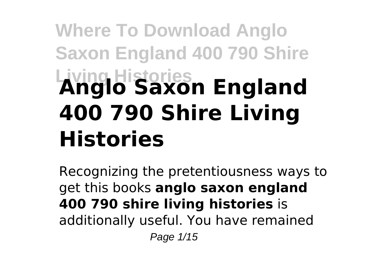# **Where To Download Anglo Saxon England 400 790 Shire Living Histories Anglo Saxon England 400 790 Shire Living Histories**

Recognizing the pretentiousness ways to get this books **anglo saxon england 400 790 shire living histories** is additionally useful. You have remained Page 1/15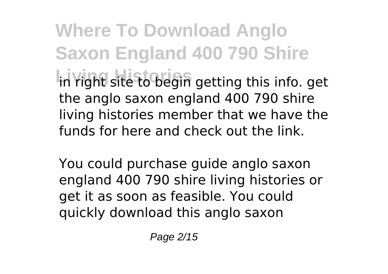**Where To Download Anglo Saxon England 400 790 Shire** in right site to begin getting this info. get the anglo saxon england 400 790 shire living histories member that we have the funds for here and check out the link.

You could purchase guide anglo saxon england 400 790 shire living histories or get it as soon as feasible. You could quickly download this anglo saxon

Page 2/15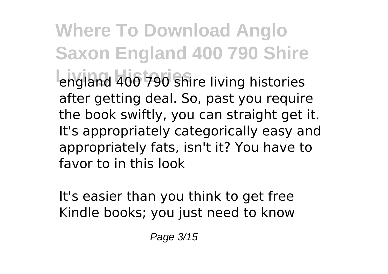**Where To Download Anglo Saxon England 400 790 Shire** england 400 790 shire living histories after getting deal. So, past you require the book swiftly, you can straight get it. It's appropriately categorically easy and appropriately fats, isn't it? You have to favor to in this look

It's easier than you think to get free Kindle books; you just need to know

Page 3/15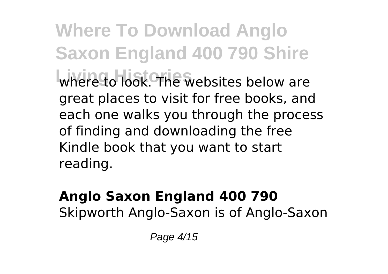**Where To Download Anglo Saxon England 400 790 Shire** where to look. The websites below are great places to visit for free books, and each one walks you through the process of finding and downloading the free Kindle book that you want to start reading.

### **Anglo Saxon England 400 790** Skipworth Anglo-Saxon is of Anglo-Saxon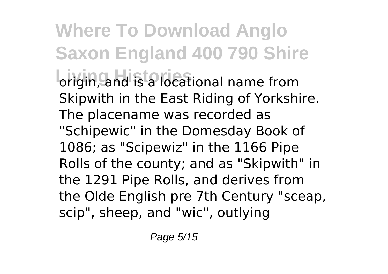**Where To Download Anglo Saxon England 400 790 Shire brigin, and is a locational name from** Skipwith in the East Riding of Yorkshire. The placename was recorded as "Schipewic" in the Domesday Book of 1086; as "Scipewiz" in the 1166 Pipe Rolls of the county; and as "Skipwith" in the 1291 Pipe Rolls, and derives from the Olde English pre 7th Century "sceap, scip", sheep, and "wic", outlying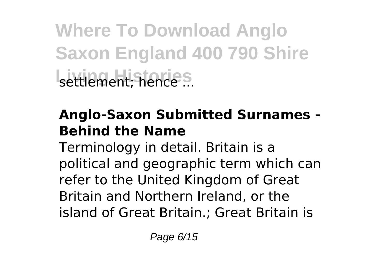**Where To Download Anglo Saxon England 400 790 Shire** settlement; hence<sup>s</sup>...

### **Anglo-Saxon Submitted Surnames - Behind the Name**

Terminology in detail. Britain is a political and geographic term which can refer to the United Kingdom of Great Britain and Northern Ireland, or the island of Great Britain.; Great Britain is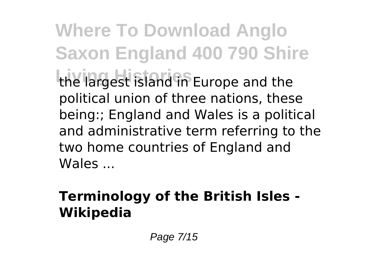**Where To Download Anglo Saxon England 400 790 Shire Living Histories** the largest island in Europe and the political union of three nations, these being:; England and Wales is a political and administrative term referring to the two home countries of England and Wales ...

## **Terminology of the British Isles - Wikipedia**

Page 7/15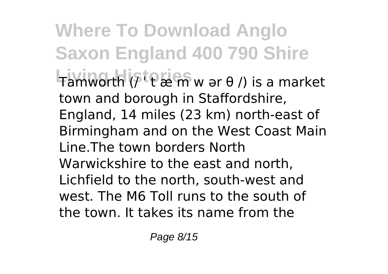## **Where To Download Anglo Saxon England 400 790 Shire**

**Living Histories** Tamworth (/ ˈ t æ m w ər θ /) is a market town and borough in Staffordshire, England, 14 miles (23 km) north-east of Birmingham and on the West Coast Main Line.The town borders North Warwickshire to the east and north, Lichfield to the north, south-west and west. The M6 Toll runs to the south of the town. It takes its name from the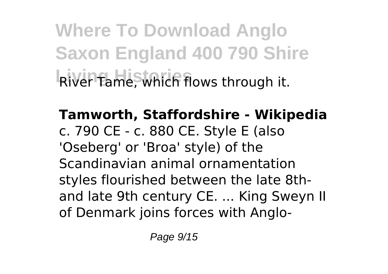**Where To Download Anglo Saxon England 400 790 Shire Living Histories** River Tame, which flows through it.

**Tamworth, Staffordshire - Wikipedia** c. 790 CE - c. 880 CE. Style E (also 'Oseberg' or 'Broa' style) of the Scandinavian animal ornamentation styles flourished between the late 8thand late 9th century CE. ... King Sweyn II of Denmark joins forces with Anglo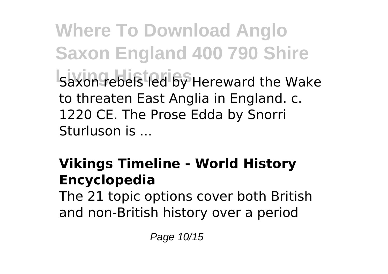**Where To Download Anglo Saxon England 400 790 Shire** Saxon rebels led by Hereward the Wake to threaten East Anglia in England. c. 1220 CE. The Prose Edda by Snorri Sturluson is ...

## **Vikings Timeline - World History Encyclopedia**

The 21 topic options cover both British and non-British history over a period

Page 10/15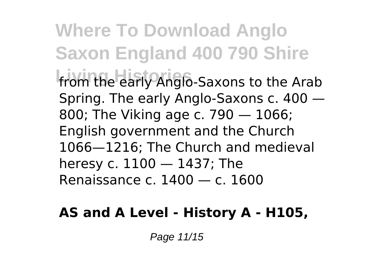**Where To Download Anglo Saxon England 400 790 Shire Living Histories** from the early Anglo-Saxons to the Arab Spring. The early Anglo-Saxons c. 400 — 800; The Viking age c. 790 — 1066; English government and the Church 1066—1216; The Church and medieval heresy c. 1100 — 1437; The Renaissance c. 1400 — c. 1600

#### **AS and A Level - History A - H105,**

Page 11/15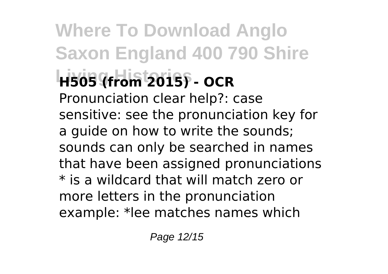## **Where To Download Anglo Saxon England 400 790 Shire Living Histories H505 (from 2015) - OCR** Pronunciation clear help?: case sensitive: see the pronunciation key for a guide on how to write the sounds; sounds can only be searched in names that have been assigned pronunciations \* is a wildcard that will match zero or more letters in the pronunciation example: \*lee matches names which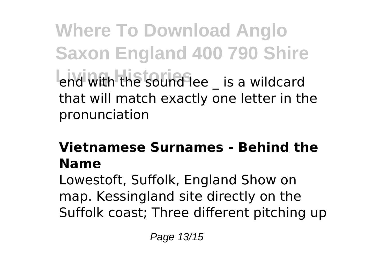**Where To Download Anglo Saxon England 400 790 Shire** end with the sound lee \_ is a wildcard that will match exactly one letter in the pronunciation

### **Vietnamese Surnames - Behind the Name**

Lowestoft, Suffolk, England Show on map. Kessingland site directly on the Suffolk coast; Three different pitching up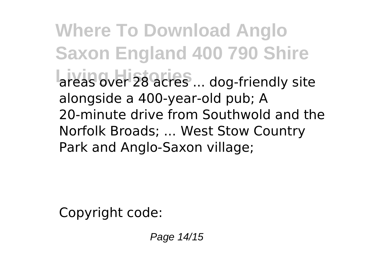**Where To Download Anglo Saxon England 400 790 Shire** areas over 28 acres ... dog-friendly site alongside a 400-year-old pub; A 20-minute drive from Southwold and the Norfolk Broads; ... West Stow Country Park and Anglo-Saxon village;

Copyright code:

Page 14/15